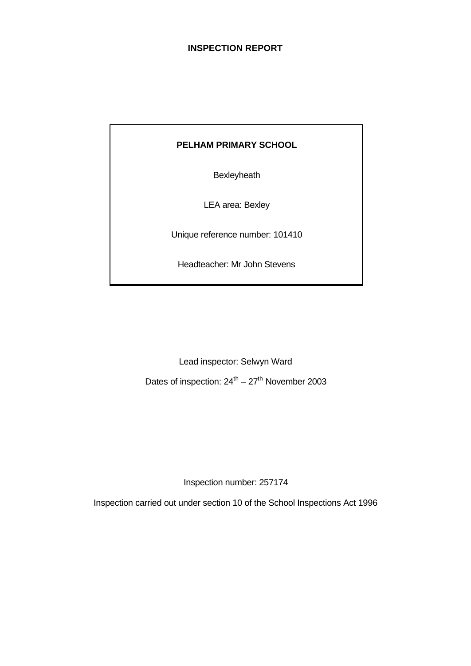# **INSPECTION REPORT**

## **PELHAM PRIMARY SCHOOL**

**Bexleyheath** 

LEA area: Bexley

Unique reference number: 101410

Headteacher: Mr John Stevens

Lead inspector: Selwyn Ward Dates of inspection:  $24^{\text{th}} - 27^{\text{th}}$  November 2003

Inspection number: 257174

Inspection carried out under section 10 of the School Inspections Act 1996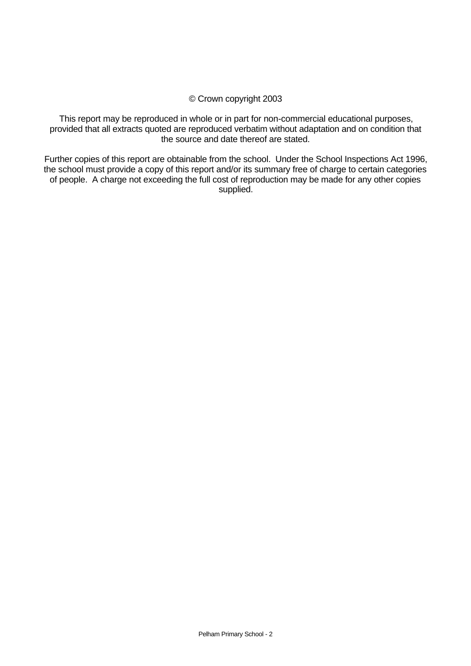#### © Crown copyright 2003

This report may be reproduced in whole or in part for non-commercial educational purposes, provided that all extracts quoted are reproduced verbatim without adaptation and on condition that the source and date thereof are stated.

Further copies of this report are obtainable from the school. Under the School Inspections Act 1996, the school must provide a copy of this report and/or its summary free of charge to certain categories of people. A charge not exceeding the full cost of reproduction may be made for any other copies supplied.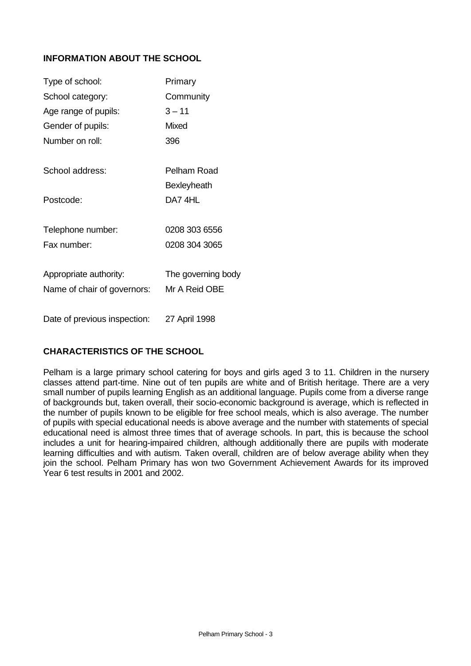# **INFORMATION ABOUT THE SCHOOL**

| Type of school:              | Primary            |
|------------------------------|--------------------|
| School category:             | Community          |
| Age range of pupils:         | $3 - 11$           |
| Gender of pupils:            | <b>Mixed</b>       |
| Number on roll:              | 396                |
| School address:              | Pelham Road        |
|                              | Bexleyheath        |
| Postcode:                    | DA7 4HL            |
| Telephone number:            | 0208 303 6556      |
| Fax number:                  | 0208 304 3065      |
| Appropriate authority:       | The governing body |
| Name of chair of governors:  | Mr A Reid OBE      |
| Date of previous inspection: | 27 April 1998      |

# **CHARACTERISTICS OF THE SCHOOL**

Pelham is a large primary school catering for boys and girls aged 3 to 11. Children in the nursery classes attend part-time. Nine out of ten pupils are white and of British heritage. There are a very small number of pupils learning English as an additional language. Pupils come from a diverse range of backgrounds but, taken overall, their socio-economic background is average, which is reflected in the number of pupils known to be eligible for free school meals, which is also average. The number of pupils with special educational needs is above average and the number with statements of special educational need is almost three times that of average schools. In part, this is because the school includes a unit for hearing-impaired children, although additionally there are pupils with moderate learning difficulties and with autism. Taken overall, children are of below average ability when they join the school. Pelham Primary has won two Government Achievement Awards for its improved Year 6 test results in 2001 and 2002.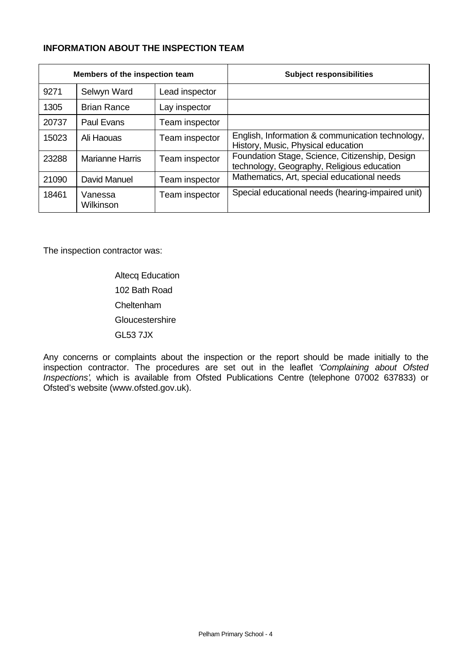# **INFORMATION ABOUT THE INSPECTION TEAM**

| Members of the inspection team |                        |                | <b>Subject responsibilities</b>                                                              |
|--------------------------------|------------------------|----------------|----------------------------------------------------------------------------------------------|
| 9271                           | Selwyn Ward            | Lead inspector |                                                                                              |
| 1305                           | <b>Brian Rance</b>     | Lay inspector  |                                                                                              |
| 20737                          | <b>Paul Evans</b>      | Team inspector |                                                                                              |
| 15023                          | Ali Haouas             | Team inspector | English, Information & communication technology,<br>History, Music, Physical education       |
| 23288                          | <b>Marianne Harris</b> | Team inspector | Foundation Stage, Science, Citizenship, Design<br>technology, Geography, Religious education |
| 21090                          | David Manuel           | Team inspector | Mathematics, Art, special educational needs                                                  |
| 18461                          | Vanessa<br>Wilkinson   | Team inspector | Special educational needs (hearing-impaired unit)                                            |

The inspection contractor was:

Altecq Education 102 Bath Road Cheltenham **Gloucestershire** GL53 7JX

Any concerns or complaints about the inspection or the report should be made initially to the inspection contractor. The procedures are set out in the leaflet *'Complaining about Ofsted Inspections'*, which is available from Ofsted Publications Centre (telephone 07002 637833) or Ofsted's website (www.ofsted.gov.uk).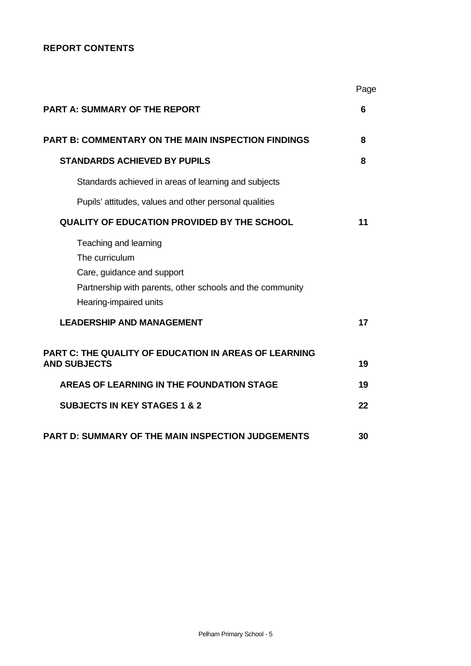# **REPORT CONTENTS**

|                                                                                                                                                              | Page     |
|--------------------------------------------------------------------------------------------------------------------------------------------------------------|----------|
| <b>PART A: SUMMARY OF THE REPORT</b>                                                                                                                         | 6        |
| <b>PART B: COMMENTARY ON THE MAIN INSPECTION FINDINGS</b>                                                                                                    | 8        |
| <b>STANDARDS ACHIEVED BY PUPILS</b>                                                                                                                          | 8        |
| Standards achieved in areas of learning and subjects                                                                                                         |          |
| Pupils' attitudes, values and other personal qualities                                                                                                       |          |
| <b>QUALITY OF EDUCATION PROVIDED BY THE SCHOOL</b>                                                                                                           | 11       |
| Teaching and learning<br>The curriculum<br>Care, guidance and support<br>Partnership with parents, other schools and the community<br>Hearing-impaired units |          |
| <b>LEADERSHIP AND MANAGEMENT</b>                                                                                                                             | 17       |
| <b>PART C: THE QUALITY OF EDUCATION IN AREAS OF LEARNING</b><br><b>AND SUBJECTS</b><br>AREAS OF LEARNING IN THE FOUNDATION STAGE                             | 19<br>19 |
|                                                                                                                                                              |          |
| <b>SUBJECTS IN KEY STAGES 1 &amp; 2</b>                                                                                                                      | 22       |
| <b>PART D: SUMMARY OF THE MAIN INSPECTION JUDGEMENTS</b>                                                                                                     | 30       |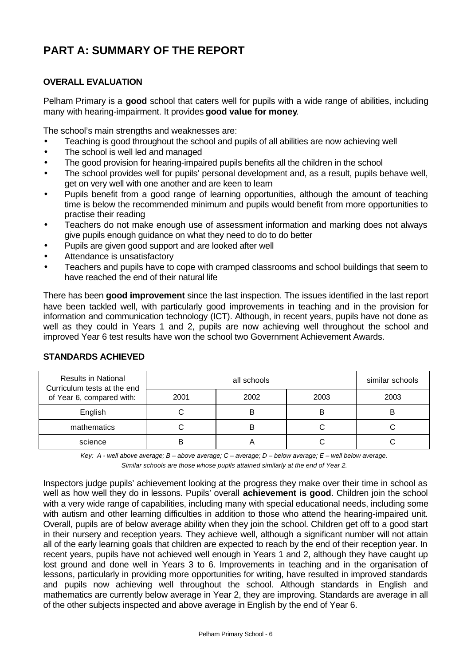# **PART A: SUMMARY OF THE REPORT**

# **OVERALL EVALUATION**

Pelham Primary is a **good** school that caters well for pupils with a wide range of abilities, including many with hearing-impairment. It provides **good value for money**.

The school's main strengths and weaknesses are:

- Teaching is good throughout the school and pupils of all abilities are now achieving well
- The school is well led and managed
- The good provision for hearing-impaired pupils benefits all the children in the school
- The school provides well for pupils' personal development and, as a result, pupils behave well, get on very well with one another and are keen to learn
- Pupils benefit from a good range of learning opportunities, although the amount of teaching time is below the recommended minimum and pupils would benefit from more opportunities to practise their reading
- Teachers do not make enough use of assessment information and marking does not always give pupils enough guidance on what they need to do to do better
- Pupils are given good support and are looked after well
- Attendance is unsatisfactory
- Teachers and pupils have to cope with cramped classrooms and school buildings that seem to have reached the end of their natural life

There has been **good improvement** since the last inspection. The issues identified in the last report have been tackled well, with particularly good improvements in teaching and in the provision for information and communication technology (ICT). Although, in recent years, pupils have not done as well as they could in Years 1 and 2, pupils are now achieving well throughout the school and improved Year 6 test results have won the school two Government Achievement Awards.

| <b>Results in National</b><br>Curriculum tests at the end |      | similar schools |      |      |
|-----------------------------------------------------------|------|-----------------|------|------|
| of Year 6, compared with:                                 | 2001 | 2002            | 2003 | 2003 |
| English                                                   |      | B               | B    | B    |
| mathematics                                               |      | B               |      |      |
| science                                                   |      |                 |      |      |

#### **STANDARDS ACHIEVED**

*Key: A - well above average; B – above average; C – average; D – below average; E – well below average. Similar schools are those whose pupils attained similarly at the end of Year 2.*

Inspectors judge pupils' achievement looking at the progress they make over their time in school as well as how well they do in lessons. Pupils' overall **achievement is good**. Children join the school with a very wide range of capabilities, including many with special educational needs, including some with autism and other learning difficulties in addition to those who attend the hearing-impaired unit. Overall, pupils are of below average ability when they join the school. Children get off to a good start in their nursery and reception years. They achieve well, although a significant number will not attain all of the early learning goals that children are expected to reach by the end of their reception year. In recent years, pupils have not achieved well enough in Years 1 and 2, although they have caught up lost ground and done well in Years 3 to 6. Improvements in teaching and in the organisation of lessons, particularly in providing more opportunities for writing, have resulted in improved standards and pupils now achieving well throughout the school. Although standards in English and mathematics are currently below average in Year 2, they are improving. Standards are average in all of the other subjects inspected and above average in English by the end of Year 6.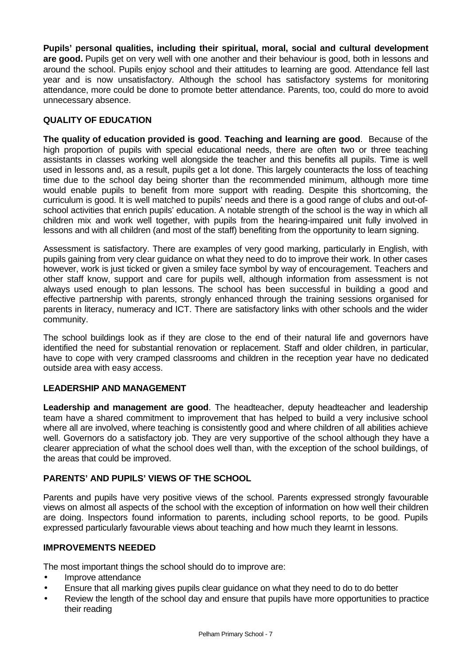**Pupils' personal qualities, including their spiritual, moral, social and cultural development are good.** Pupils get on very well with one another and their behaviour is good, both in lessons and around the school. Pupils enjoy school and their attitudes to learning are good. Attendance fell last year and is now unsatisfactory. Although the school has satisfactory systems for monitoring attendance, more could be done to promote better attendance. Parents, too, could do more to avoid unnecessary absence.

# **QUALITY OF EDUCATION**

**The quality of education provided is good**. **Teaching and learning are good**. Because of the high proportion of pupils with special educational needs, there are often two or three teaching assistants in classes working well alongside the teacher and this benefits all pupils. Time is well used in lessons and, as a result, pupils get a lot done. This largely counteracts the loss of teaching time due to the school day being shorter than the recommended minimum, although more time would enable pupils to benefit from more support with reading. Despite this shortcoming, the curriculum is good. It is well matched to pupils' needs and there is a good range of clubs and out-ofschool activities that enrich pupils' education. A notable strength of the school is the way in which all children mix and work well together, with pupils from the hearing-impaired unit fully involved in lessons and with all children (and most of the staff) benefiting from the opportunity to learn signing.

Assessment is satisfactory. There are examples of very good marking, particularly in English, with pupils gaining from very clear guidance on what they need to do to improve their work. In other cases however, work is just ticked or given a smiley face symbol by way of encouragement. Teachers and other staff know, support and care for pupils well, although information from assessment is not always used enough to plan lessons. The school has been successful in building a good and effective partnership with parents, strongly enhanced through the training sessions organised for parents in literacy, numeracy and ICT. There are satisfactory links with other schools and the wider community.

The school buildings look as if they are close to the end of their natural life and governors have identified the need for substantial renovation or replacement. Staff and older children, in particular, have to cope with very cramped classrooms and children in the reception year have no dedicated outside area with easy access.

#### **LEADERSHIP AND MANAGEMENT**

**Leadership and management are good**. The headteacher, deputy headteacher and leadership team have a shared commitment to improvement that has helped to build a very inclusive school where all are involved, where teaching is consistently good and where children of all abilities achieve well. Governors do a satisfactory job. They are very supportive of the school although they have a clearer appreciation of what the school does well than, with the exception of the school buildings, of the areas that could be improved.

#### **PARENTS' AND PUPILS' VIEWS OF THE SCHOOL**

Parents and pupils have very positive views of the school. Parents expressed strongly favourable views on almost all aspects of the school with the exception of information on how well their children are doing. Inspectors found information to parents, including school reports, to be good. Pupils expressed particularly favourable views about teaching and how much they learnt in lessons.

#### **IMPROVEMENTS NEEDED**

The most important things the school should do to improve are:

- Improve attendance
- Ensure that all marking gives pupils clear guidance on what they need to do to do better
- Review the length of the school day and ensure that pupils have more opportunities to practice their reading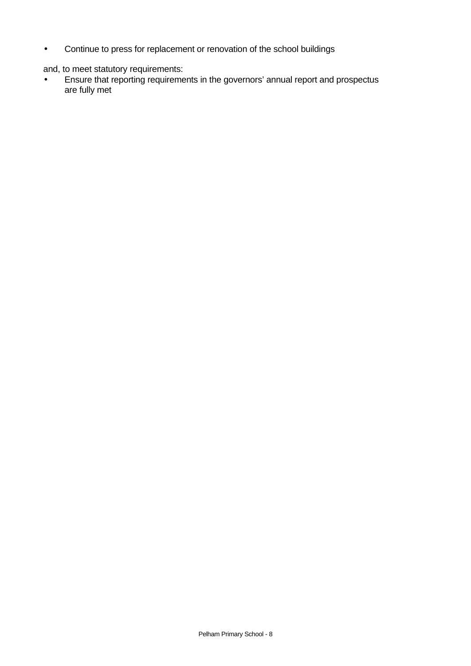• Continue to press for replacement or renovation of the school buildings

and, to meet statutory requirements:

• Ensure that reporting requirements in the governors' annual report and prospectus are fully met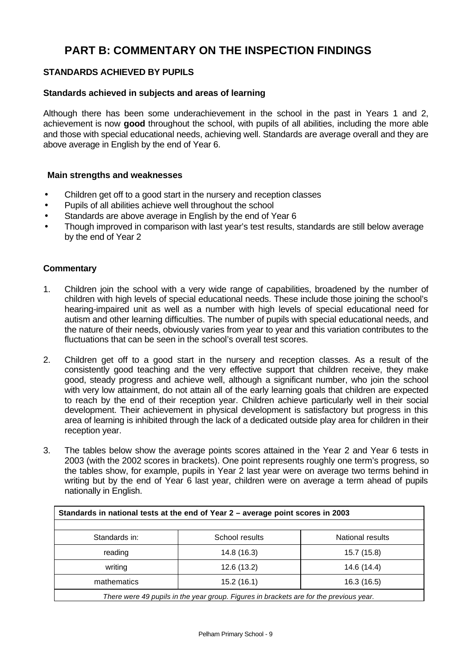# **PART B: COMMENTARY ON THE INSPECTION FINDINGS**

# **STANDARDS ACHIEVED BY PUPILS**

#### **Standards achieved in subjects and areas of learning**

Although there has been some underachievement in the school in the past in Years 1 and 2, achievement is now **good** throughout the school, with pupils of all abilities, including the more able and those with special educational needs, achieving well. Standards are average overall and they are above average in English by the end of Year 6.

#### **Main strengths and weaknesses**

- Children get off to a good start in the nursery and reception classes
- Pupils of all abilities achieve well throughout the school
- Standards are above average in English by the end of Year 6
- Though improved in comparison with last year's test results, standards are still below average by the end of Year 2

- 1. Children join the school with a very wide range of capabilities, broadened by the number of children with high levels of special educational needs. These include those joining the school's hearing-impaired unit as well as a number with high levels of special educational need for autism and other learning difficulties. The number of pupils with special educational needs, and the nature of their needs, obviously varies from year to year and this variation contributes to the fluctuations that can be seen in the school's overall test scores.
- 2. Children get off to a good start in the nursery and reception classes. As a result of the consistently good teaching and the very effective support that children receive, they make good, steady progress and achieve well, although a significant number, who join the school with very low attainment, do not attain all of the early learning goals that children are expected to reach by the end of their reception year. Children achieve particularly well in their social development. Their achievement in physical development is satisfactory but progress in this area of learning is inhibited through the lack of a dedicated outside play area for children in their reception year.
- 3. The tables below show the average points scores attained in the Year 2 and Year 6 tests in 2003 (with the 2002 scores in brackets). One point represents roughly one term's progress, so the tables show, for example, pupils in Year 2 last year were on average two terms behind in writing but by the end of Year 6 last year, children were on average a term ahead of pupils nationally in English.

| Standards in national tests at the end of Year 2 - average point scores in 2003        |             |             |  |  |  |  |  |  |
|----------------------------------------------------------------------------------------|-------------|-------------|--|--|--|--|--|--|
| Standards in:<br>School results<br>National results                                    |             |             |  |  |  |  |  |  |
| reading                                                                                | 14.8 (16.3) | 15.7 (15.8) |  |  |  |  |  |  |
| writing<br>12.6 (13.2)<br>14.6 (14.4)                                                  |             |             |  |  |  |  |  |  |
| mathematics<br>15.2(16.1)<br>16.3 (16.5)                                               |             |             |  |  |  |  |  |  |
| There were 49 pupils in the year group. Figures in brackets are for the previous year. |             |             |  |  |  |  |  |  |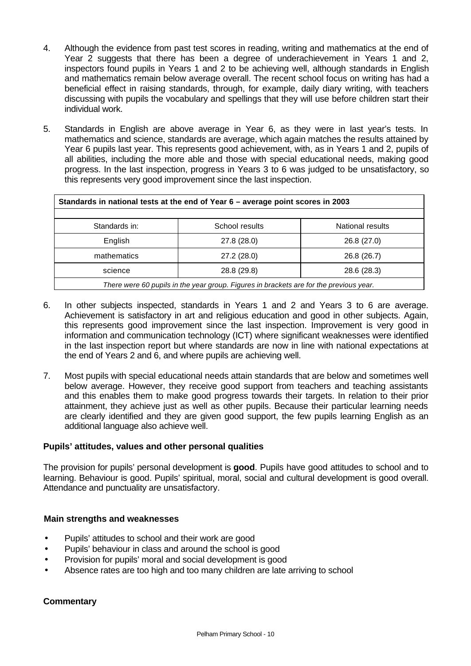- 4. Although the evidence from past test scores in reading, writing and mathematics at the end of Year 2 suggests that there has been a degree of underachievement in Years 1 and 2, inspectors found pupils in Years 1 and 2 to be achieving well, although standards in English and mathematics remain below average overall. The recent school focus on writing has had a beneficial effect in raising standards, through, for example, daily diary writing, with teachers discussing with pupils the vocabulary and spellings that they will use before children start their individual work.
- 5. Standards in English are above average in Year 6, as they were in last year's tests. In mathematics and science, standards are average, which again matches the results attained by Year 6 pupils last year. This represents good achievement, with, as in Years 1 and 2, pupils of all abilities, including the more able and those with special educational needs, making good progress. In the last inspection, progress in Years 3 to 6 was judged to be unsatisfactory, so this represents very good improvement since the last inspection.

| Standards in national tests at the end of Year 6 - average point scores in 2003        |  |  |  |  |  |  |  |
|----------------------------------------------------------------------------------------|--|--|--|--|--|--|--|
|                                                                                        |  |  |  |  |  |  |  |
| Standards in:<br>School results<br><b>National results</b>                             |  |  |  |  |  |  |  |
| English<br>27.8 (28.0)<br>26.8 (27.0)                                                  |  |  |  |  |  |  |  |
| mathematics<br>27.2 (28.0)<br>26.8 (26.7)                                              |  |  |  |  |  |  |  |
| science<br>28.8 (29.8)<br>28.6 (28.3)                                                  |  |  |  |  |  |  |  |
| There were 60 pupils in the year group. Figures in brackets are for the previous year. |  |  |  |  |  |  |  |

- 6. In other subjects inspected, standards in Years 1 and 2 and Years 3 to 6 are average. Achievement is satisfactory in art and religious education and good in other subjects. Again, this represents good improvement since the last inspection. Improvement is very good in information and communication technology (ICT) where significant weaknesses were identified in the last inspection report but where standards are now in line with national expectations at the end of Years 2 and 6, and where pupils are achieving well.
- 7. Most pupils with special educational needs attain standards that are below and sometimes well below average. However, they receive good support from teachers and teaching assistants and this enables them to make good progress towards their targets. In relation to their prior attainment, they achieve just as well as other pupils. Because their particular learning needs are clearly identified and they are given good support, the few pupils learning English as an additional language also achieve well.

#### **Pupils' attitudes, values and other personal qualities**

The provision for pupils' personal development is **good**. Pupils have good attitudes to school and to learning. Behaviour is good. Pupils' spiritual, moral, social and cultural development is good overall. Attendance and punctuality are unsatisfactory.

#### **Main strengths and weaknesses**

- Pupils' attitudes to school and their work are good
- Pupils' behaviour in class and around the school is good
- Provision for pupils' moral and social development is good
- Absence rates are too high and too many children are late arriving to school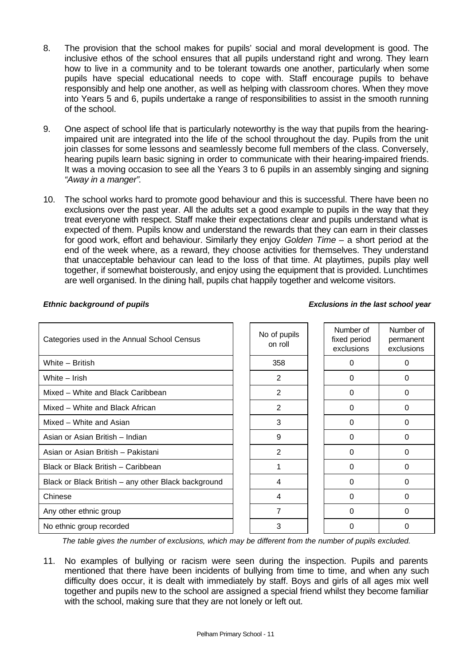- 8. The provision that the school makes for pupils' social and moral development is good. The inclusive ethos of the school ensures that all pupils understand right and wrong. They learn how to live in a community and to be tolerant towards one another, particularly when some pupils have special educational needs to cope with. Staff encourage pupils to behave responsibly and help one another, as well as helping with classroom chores. When they move into Years 5 and 6, pupils undertake a range of responsibilities to assist in the smooth running of the school.
- 9. One aspect of school life that is particularly noteworthy is the way that pupils from the hearingimpaired unit are integrated into the life of the school throughout the day. Pupils from the unit join classes for some lessons and seamlessly become full members of the class. Conversely, hearing pupils learn basic signing in order to communicate with their hearing-impaired friends. It was a moving occasion to see all the Years 3 to 6 pupils in an assembly singing and signing *"Away in a manger"*.
- 10. The school works hard to promote good behaviour and this is successful. There have been no exclusions over the past year. All the adults set a good example to pupils in the way that they treat everyone with respect. Staff make their expectations clear and pupils understand what is expected of them. Pupils know and understand the rewards that they can earn in their classes for good work, effort and behaviour. Similarly they enjoy *Golden Time* – a short period at the end of the week where, as a reward, they choose activities for themselves. They understand that unacceptable behaviour can lead to the loss of that time. At playtimes, pupils play well together, if somewhat boisterously, and enjoy using the equipment that is provided. Lunchtimes are well organised. In the dining hall, pupils chat happily together and welcome visitors.

# Categories used in the Annual School Census No of pupils on roll Number of fixed period exclusions White – British 358 0 0 White – Irish 2 0 0 Mixed – White and Black Caribbean 2 0 0 Mixed – White and Black African 2 0 0 Mixed – White and Asian 3 0 0 Asian or Asian British – Indian and Asian or Asian British – Indian and O Asian or Asian British – Pakistani 2 0 0 Black or Black British – Caribbean 1 0 0 Black or Black British – any other Black background | | 4 | 0 0 | 0 Chinese 4 0 0 Any other ethnic group and the contract of the contract of the contract of the contract of the contract of the contract of the contract of the contract of the contract of the contract of the contract of the contract of the No ethnic group recorded and the set of the set of the set of the set of the set of the set of the set of the s

#### *Ethnic background of pupils Exclusions in the last school year*

Number of permanent exclusions

*The table gives the number of exclusions, which may be different from the number of pupils excluded.*

11. No examples of bullying or racism were seen during the inspection. Pupils and parents mentioned that there have been incidents of bullying from time to time, and when any such difficulty does occur, it is dealt with immediately by staff. Boys and girls of all ages mix well together and pupils new to the school are assigned a special friend whilst they become familiar with the school, making sure that they are not lonely or left out.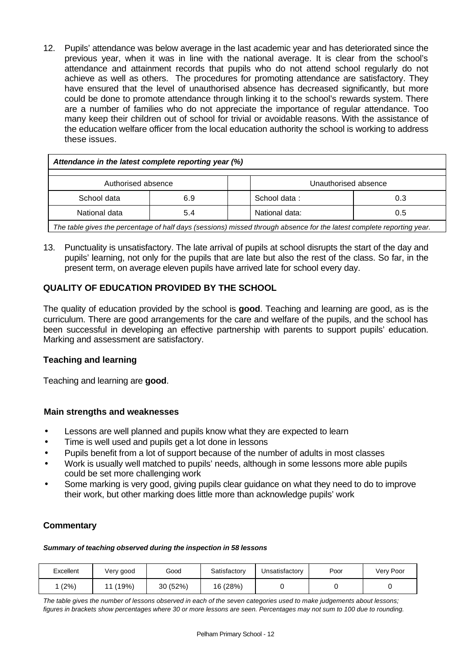12. Pupils' attendance was below average in the last academic year and has deteriorated since the previous year, when it was in line with the national average. It is clear from the school's attendance and attainment records that pupils who do not attend school regularly do not achieve as well as others. The procedures for promoting attendance are satisfactory. They have ensured that the level of unauthorised absence has decreased significantly, but more could be done to promote attendance through linking it to the school's rewards system. There are a number of families who do not appreciate the importance of regular attendance. Too many keep their children out of school for trivial or avoidable reasons. With the assistance of the education welfare officer from the local education authority the school is working to address these issues.

| Attendance in the latest complete reporting year (%) |     |  |              |     |  |  |
|------------------------------------------------------|-----|--|--------------|-----|--|--|
| Authorised absence<br>Unauthorised absence           |     |  |              |     |  |  |
| School data                                          | 6.9 |  | School data: | 0.3 |  |  |
| National data:<br>National data<br>5.4<br>0.5        |     |  |              |     |  |  |
|                                                      |     |  |              |     |  |  |

*The table gives the percentage of half days (sessions) missed through absence for the latest complete reporting year.*

13. Punctuality is unsatisfactory. The late arrival of pupils at school disrupts the start of the day and pupils' learning, not only for the pupils that are late but also the rest of the class. So far, in the present term, on average eleven pupils have arrived late for school every day.

# **QUALITY OF EDUCATION PROVIDED BY THE SCHOOL**

The quality of education provided by the school is **good**. Teaching and learning are good, as is the curriculum. There are good arrangements for the care and welfare of the pupils, and the school has been successful in developing an effective partnership with parents to support pupils' education. Marking and assessment are satisfactory.

#### **Teaching and learning**

Teaching and learning are **good**.

#### **Main strengths and weaknesses**

- Lessons are well planned and pupils know what they are expected to learn
- Time is well used and pupils get a lot done in lessons
- Pupils benefit from a lot of support because of the number of adults in most classes
- Work is usually well matched to pupils' needs, although in some lessons more able pupils could be set more challenging work
- Some marking is very good, giving pupils clear guidance on what they need to do to improve their work, but other marking does little more than acknowledge pupils' work

# **Commentary**

#### *Summary of teaching observed during the inspection in 58 lessons*

| Excellent | Very good   | Good     | Satisfactory | Unsatisfactory | Poor | Very Poor |
|-----------|-------------|----------|--------------|----------------|------|-----------|
| (2%)      | (19%)<br>11 | 30 (52%) | 16 (28%)     |                |      |           |

*The table gives the number of lessons observed in each of the seven categories used to make judgements about lessons; figures in brackets show percentages where 30 or more lessons are seen. Percentages may not sum to 100 due to rounding.*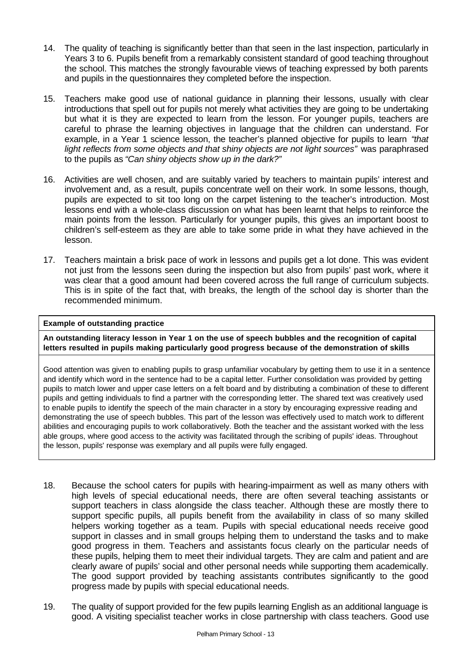- 14. The quality of teaching is significantly better than that seen in the last inspection, particularly in Years 3 to 6. Pupils benefit from a remarkably consistent standard of good teaching throughout the school. This matches the strongly favourable views of teaching expressed by both parents and pupils in the questionnaires they completed before the inspection.
- 15. Teachers make good use of national guidance in planning their lessons, usually with clear introductions that spell out for pupils not merely what activities they are going to be undertaking but what it is they are expected to learn from the lesson. For younger pupils, teachers are careful to phrase the learning objectives in language that the children can understand. For example, in a Year 1 science lesson, the teacher's planned objective for pupils to learn *"that* light reflects from some objects and that shiny objects are not light sources" was paraphrased to the pupils as *"Can shiny objects show up in the dark?"*
- 16. Activities are well chosen, and are suitably varied by teachers to maintain pupils' interest and involvement and, as a result, pupils concentrate well on their work. In some lessons, though, pupils are expected to sit too long on the carpet listening to the teacher's introduction. Most lessons end with a whole-class discussion on what has been learnt that helps to reinforce the main points from the lesson. Particularly for younger pupils, this gives an important boost to children's self-esteem as they are able to take some pride in what they have achieved in the lesson.
- 17. Teachers maintain a brisk pace of work in lessons and pupils get a lot done. This was evident not just from the lessons seen during the inspection but also from pupils' past work, where it was clear that a good amount had been covered across the full range of curriculum subjects. This is in spite of the fact that, with breaks, the length of the school day is shorter than the recommended minimum.

#### **Example of outstanding practice**

**An outstanding literacy lesson in Year 1 on the use of speech bubbles and the recognition of capital letters resulted in pupils making particularly good progress because of the demonstration of skills**

Good attention was given to enabling pupils to grasp unfamiliar vocabulary by getting them to use it in a sentence and identify which word in the sentence had to be a capital letter. Further consolidation was provided by getting pupils to match lower and upper case letters on a felt board and by distributing a combination of these to different pupils and getting individuals to find a partner with the corresponding letter. The shared text was creatively used to enable pupils to identify the speech of the main character in a story by encouraging expressive reading and demonstrating the use of speech bubbles. This part of the lesson was effectively used to match work to different abilities and encouraging pupils to work collaboratively. Both the teacher and the assistant worked with the less able groups, where good access to the activity was facilitated through the scribing of pupils' ideas. Throughout the lesson, pupils' response was exemplary and all pupils were fully engaged.

- 18. Because the school caters for pupils with hearing-impairment as well as many others with high levels of special educational needs, there are often several teaching assistants or support teachers in class alongside the class teacher. Although these are mostly there to support specific pupils, all pupils benefit from the availability in class of so many skilled helpers working together as a team. Pupils with special educational needs receive good support in classes and in small groups helping them to understand the tasks and to make good progress in them. Teachers and assistants focus clearly on the particular needs of these pupils, helping them to meet their individual targets. They are calm and patient and are clearly aware of pupils' social and other personal needs while supporting them academically. The good support provided by teaching assistants contributes significantly to the good progress made by pupils with special educational needs.
- 19. The quality of support provided for the few pupils learning English as an additional language is good. A visiting specialist teacher works in close partnership with class teachers. Good use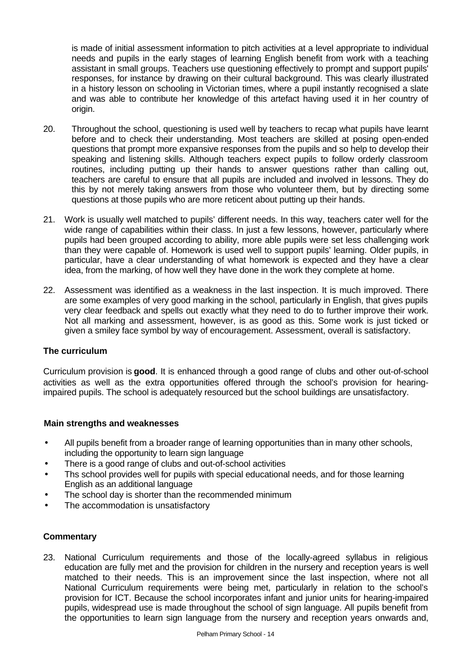is made of initial assessment information to pitch activities at a level appropriate to individual needs and pupils in the early stages of learning English benefit from work with a teaching assistant in small groups. Teachers use questioning effectively to prompt and support pupils' responses, for instance by drawing on their cultural background. This was clearly illustrated in a history lesson on schooling in Victorian times, where a pupil instantly recognised a slate and was able to contribute her knowledge of this artefact having used it in her country of origin.

- 20. Throughout the school, questioning is used well by teachers to recap what pupils have learnt before and to check their understanding. Most teachers are skilled at posing open-ended questions that prompt more expansive responses from the pupils and so help to develop their speaking and listening skills. Although teachers expect pupils to follow orderly classroom routines, including putting up their hands to answer questions rather than calling out, teachers are careful to ensure that all pupils are included and involved in lessons. They do this by not merely taking answers from those who volunteer them, but by directing some questions at those pupils who are more reticent about putting up their hands.
- 21. Work is usually well matched to pupils' different needs. In this way, teachers cater well for the wide range of capabilities within their class. In just a few lessons, however, particularly where pupils had been grouped according to ability, more able pupils were set less challenging work than they were capable of. Homework is used well to support pupils' learning. Older pupils, in particular, have a clear understanding of what homework is expected and they have a clear idea, from the marking, of how well they have done in the work they complete at home.
- 22. Assessment was identified as a weakness in the last inspection. It is much improved. There are some examples of very good marking in the school, particularly in English, that gives pupils very clear feedback and spells out exactly what they need to do to further improve their work. Not all marking and assessment, however, is as good as this. Some work is just ticked or given a smiley face symbol by way of encouragement. Assessment, overall is satisfactory.

#### **The curriculum**

Curriculum provision is **good**. It is enhanced through a good range of clubs and other out-of-school activities as well as the extra opportunities offered through the school's provision for hearingimpaired pupils. The school is adequately resourced but the school buildings are unsatisfactory.

#### **Main strengths and weaknesses**

- All pupils benefit from a broader range of learning opportunities than in many other schools, including the opportunity to learn sign language
- There is a good range of clubs and out-of-school activities
- Ths school provides well for pupils with special educational needs, and for those learning English as an additional language
- The school day is shorter than the recommended minimum
- The accommodation is unsatisfactory

#### **Commentary**

23. National Curriculum requirements and those of the locally-agreed syllabus in religious education are fully met and the provision for children in the nursery and reception years is well matched to their needs. This is an improvement since the last inspection, where not all National Curriculum requirements were being met, particularly in relation to the school's provision for ICT. Because the school incorporates infant and junior units for hearing-impaired pupils, widespread use is made throughout the school of sign language. All pupils benefit from the opportunities to learn sign language from the nursery and reception years onwards and,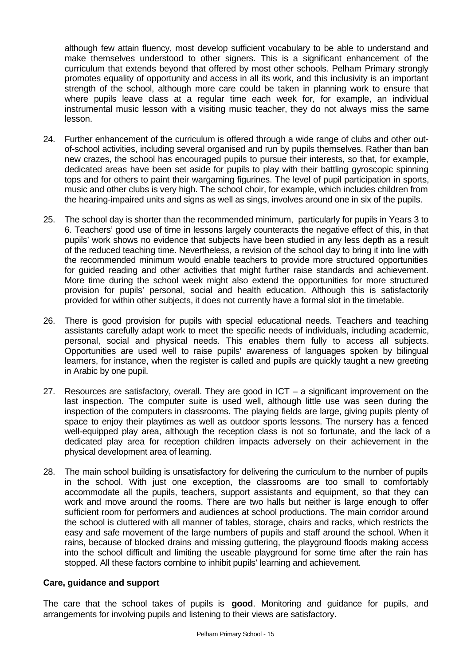although few attain fluency, most develop sufficient vocabulary to be able to understand and make themselves understood to other signers. This is a significant enhancement of the curriculum that extends beyond that offered by most other schools. Pelham Primary strongly promotes equality of opportunity and access in all its work, and this inclusivity is an important strength of the school, although more care could be taken in planning work to ensure that where pupils leave class at a regular time each week for, for example, an individual instrumental music lesson with a visiting music teacher, they do not always miss the same lesson.

- 24. Further enhancement of the curriculum is offered through a wide range of clubs and other outof-school activities, including several organised and run by pupils themselves. Rather than ban new crazes, the school has encouraged pupils to pursue their interests, so that, for example, dedicated areas have been set aside for pupils to play with their battling gyroscopic spinning tops and for others to paint their wargaming figurines. The level of pupil participation in sports, music and other clubs is very high. The school choir, for example, which includes children from the hearing-impaired units and signs as well as sings, involves around one in six of the pupils.
- 25. The school day is shorter than the recommended minimum, particularly for pupils in Years 3 to 6. Teachers' good use of time in lessons largely counteracts the negative effect of this, in that pupils' work shows no evidence that subjects have been studied in any less depth as a result of the reduced teaching time. Nevertheless, a revision of the school day to bring it into line with the recommended minimum would enable teachers to provide more structured opportunities for guided reading and other activities that might further raise standards and achievement. More time during the school week might also extend the opportunities for more structured provision for pupils' personal, social and health education. Although this is satisfactorily provided for within other subjects, it does not currently have a formal slot in the timetable.
- 26. There is good provision for pupils with special educational needs. Teachers and teaching assistants carefully adapt work to meet the specific needs of individuals, including academic, personal, social and physical needs. This enables them fully to access all subjects. Opportunities are used well to raise pupils' awareness of languages spoken by bilingual learners, for instance, when the register is called and pupils are quickly taught a new greeting in Arabic by one pupil.
- 27. Resources are satisfactory, overall. They are good in ICT a significant improvement on the last inspection. The computer suite is used well, although little use was seen during the inspection of the computers in classrooms. The playing fields are large, giving pupils plenty of space to enjoy their playtimes as well as outdoor sports lessons. The nursery has a fenced well-equipped play area, although the reception class is not so fortunate, and the lack of a dedicated play area for reception children impacts adversely on their achievement in the physical development area of learning.
- 28. The main school building is unsatisfactory for delivering the curriculum to the number of pupils in the school. With just one exception, the classrooms are too small to comfortably accommodate all the pupils, teachers, support assistants and equipment, so that they can work and move around the rooms. There are two halls but neither is large enough to offer sufficient room for performers and audiences at school productions. The main corridor around the school is cluttered with all manner of tables, storage, chairs and racks, which restricts the easy and safe movement of the large numbers of pupils and staff around the school. When it rains, because of blocked drains and missing guttering, the playground floods making access into the school difficult and limiting the useable playground for some time after the rain has stopped. All these factors combine to inhibit pupils' learning and achievement.

#### **Care, guidance and support**

The care that the school takes of pupils is **good**. Monitoring and guidance for pupils, and arrangements for involving pupils and listening to their views are satisfactory.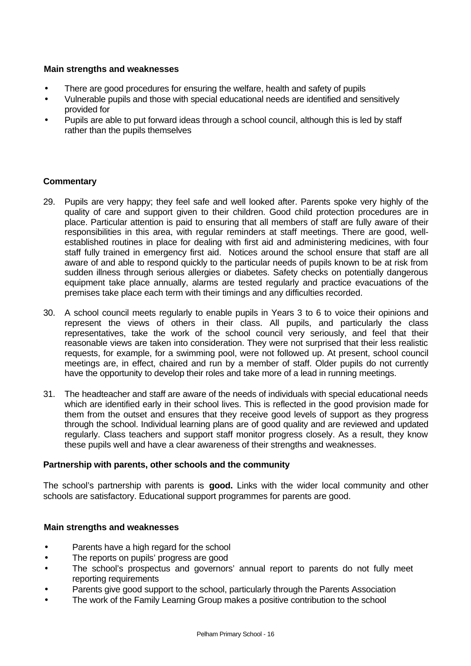#### **Main strengths and weaknesses**

- There are good procedures for ensuring the welfare, health and safety of pupils
- Vulnerable pupils and those with special educational needs are identified and sensitively provided for
- Pupils are able to put forward ideas through a school council, although this is led by staff rather than the pupils themselves

#### **Commentary**

- 29. Pupils are very happy; they feel safe and well looked after. Parents spoke very highly of the quality of care and support given to their children. Good child protection procedures are in place. Particular attention is paid to ensuring that all members of staff are fully aware of their responsibilities in this area, with regular reminders at staff meetings. There are good, wellestablished routines in place for dealing with first aid and administering medicines, with four staff fully trained in emergency first aid. Notices around the school ensure that staff are all aware of and able to respond quickly to the particular needs of pupils known to be at risk from sudden illness through serious allergies or diabetes. Safety checks on potentially dangerous equipment take place annually, alarms are tested regularly and practice evacuations of the premises take place each term with their timings and any difficulties recorded.
- 30. A school council meets regularly to enable pupils in Years 3 to 6 to voice their opinions and represent the views of others in their class. All pupils, and particularly the class representatives, take the work of the school council very seriously, and feel that their reasonable views are taken into consideration. They were not surprised that their less realistic requests, for example, for a swimming pool, were not followed up. At present, school council meetings are, in effect, chaired and run by a member of staff. Older pupils do not currently have the opportunity to develop their roles and take more of a lead in running meetings.
- 31. The headteacher and staff are aware of the needs of individuals with special educational needs which are identified early in their school lives. This is reflected in the good provision made for them from the outset and ensures that they receive good levels of support as they progress through the school. Individual learning plans are of good quality and are reviewed and updated regularly. Class teachers and support staff monitor progress closely. As a result, they know these pupils well and have a clear awareness of their strengths and weaknesses.

#### **Partnership with parents, other schools and the community**

The school's partnership with parents is **good.** Links with the wider local community and other schools are satisfactory. Educational support programmes for parents are good.

#### **Main strengths and weaknesses**

- Parents have a high regard for the school
- The reports on pupils' progress are good
- The school's prospectus and governors' annual report to parents do not fully meet reporting requirements
- Parents give good support to the school, particularly through the Parents Association
- The work of the Family Learning Group makes a positive contribution to the school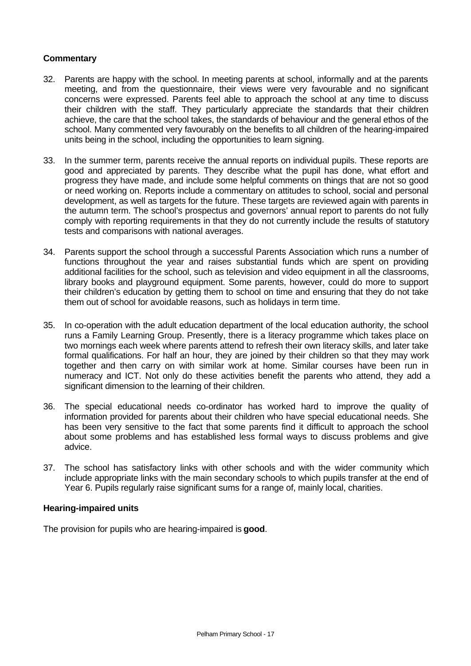#### **Commentary**

- 32. Parents are happy with the school. In meeting parents at school, informally and at the parents meeting, and from the questionnaire, their views were very favourable and no significant concerns were expressed. Parents feel able to approach the school at any time to discuss their children with the staff. They particularly appreciate the standards that their children achieve, the care that the school takes, the standards of behaviour and the general ethos of the school. Many commented very favourably on the benefits to all children of the hearing-impaired units being in the school, including the opportunities to learn signing.
- 33. In the summer term, parents receive the annual reports on individual pupils. These reports are good and appreciated by parents. They describe what the pupil has done, what effort and progress they have made, and include some helpful comments on things that are not so good or need working on. Reports include a commentary on attitudes to school, social and personal development, as well as targets for the future. These targets are reviewed again with parents in the autumn term. The school's prospectus and governors' annual report to parents do not fully comply with reporting requirements in that they do not currently include the results of statutory tests and comparisons with national averages.
- 34. Parents support the school through a successful Parents Association which runs a number of functions throughout the year and raises substantial funds which are spent on providing additional facilities for the school, such as television and video equipment in all the classrooms, library books and playground equipment. Some parents, however, could do more to support their children's education by getting them to school on time and ensuring that they do not take them out of school for avoidable reasons, such as holidays in term time.
- 35. In co-operation with the adult education department of the local education authority, the school runs a Family Learning Group. Presently, there is a literacy programme which takes place on two mornings each week where parents attend to refresh their own literacy skills, and later take formal qualifications. For half an hour, they are joined by their children so that they may work together and then carry on with similar work at home. Similar courses have been run in numeracy and ICT. Not only do these activities benefit the parents who attend, they add a significant dimension to the learning of their children.
- 36. The special educational needs co-ordinator has worked hard to improve the quality of information provided for parents about their children who have special educational needs. She has been very sensitive to the fact that some parents find it difficult to approach the school about some problems and has established less formal ways to discuss problems and give advice.
- 37. The school has satisfactory links with other schools and with the wider community which include appropriate links with the main secondary schools to which pupils transfer at the end of Year 6. Pupils regularly raise significant sums for a range of, mainly local, charities.

#### **Hearing-impaired units**

The provision for pupils who are hearing-impaired is **good**.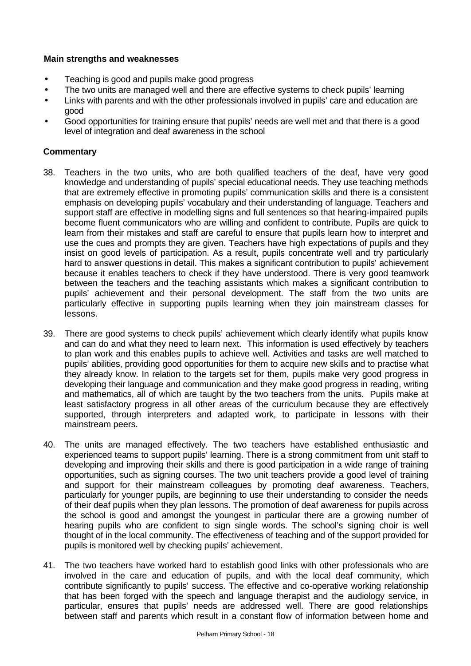### **Main strengths and weaknesses**

- Teaching is good and pupils make good progress
- The two units are managed well and there are effective systems to check pupils' learning
- Links with parents and with the other professionals involved in pupils' care and education are good
- Good opportunities for training ensure that pupils' needs are well met and that there is a good level of integration and deaf awareness in the school

- 38. Teachers in the two units, who are both qualified teachers of the deaf, have very good knowledge and understanding of pupils' special educational needs. They use teaching methods that are extremely effective in promoting pupils' communication skills and there is a consistent emphasis on developing pupils' vocabulary and their understanding of language. Teachers and support staff are effective in modelling signs and full sentences so that hearing-impaired pupils become fluent communicators who are willing and confident to contribute. Pupils are quick to learn from their mistakes and staff are careful to ensure that pupils learn how to interpret and use the cues and prompts they are given. Teachers have high expectations of pupils and they insist on good levels of participation. As a result, pupils concentrate well and try particularly hard to answer questions in detail. This makes a significant contribution to pupils' achievement because it enables teachers to check if they have understood. There is very good teamwork between the teachers and the teaching assistants which makes a significant contribution to pupils' achievement and their personal development. The staff from the two units are particularly effective in supporting pupils learning when they join mainstream classes for lessons.
- 39. There are good systems to check pupils' achievement which clearly identify what pupils know and can do and what they need to learn next. This information is used effectively by teachers to plan work and this enables pupils to achieve well. Activities and tasks are well matched to pupils' abilities, providing good opportunities for them to acquire new skills and to practise what they already know. In relation to the targets set for them, pupils make very good progress in developing their language and communication and they make good progress in reading, writing and mathematics, all of which are taught by the two teachers from the units. Pupils make at least satisfactory progress in all other areas of the curriculum because they are effectively supported, through interpreters and adapted work, to participate in lessons with their mainstream peers.
- 40. The units are managed effectively. The two teachers have established enthusiastic and experienced teams to support pupils' learning. There is a strong commitment from unit staff to developing and improving their skills and there is good participation in a wide range of training opportunities, such as signing courses. The two unit teachers provide a good level of training and support for their mainstream colleagues by promoting deaf awareness. Teachers, particularly for younger pupils, are beginning to use their understanding to consider the needs of their deaf pupils when they plan lessons. The promotion of deaf awareness for pupils across the school is good and amongst the youngest in particular there are a growing number of hearing pupils who are confident to sign single words. The school's signing choir is well thought of in the local community. The effectiveness of teaching and of the support provided for pupils is monitored well by checking pupils' achievement.
- 41. The two teachers have worked hard to establish good links with other professionals who are involved in the care and education of pupils, and with the local deaf community, which contribute significantly to pupils' success. The effective and co-operative working relationship that has been forged with the speech and language therapist and the audiology service, in particular, ensures that pupils' needs are addressed well. There are good relationships between staff and parents which result in a constant flow of information between home and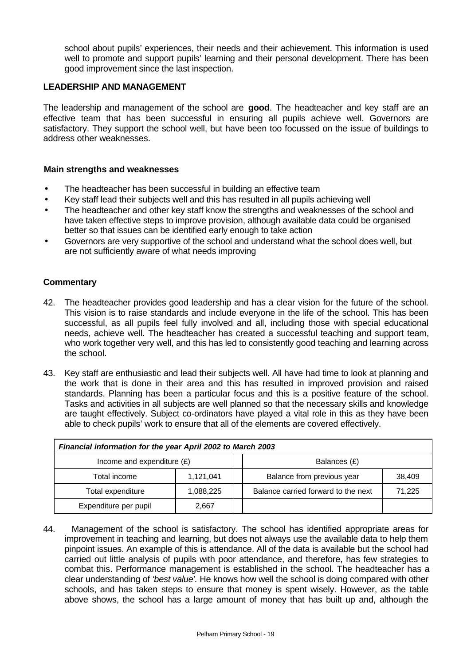school about pupils' experiences, their needs and their achievement. This information is used well to promote and support pupils' learning and their personal development. There has been good improvement since the last inspection.

#### **LEADERSHIP AND MANAGEMENT**

The leadership and management of the school are **good**. The headteacher and key staff are an effective team that has been successful in ensuring all pupils achieve well. Governors are satisfactory. They support the school well, but have been too focussed on the issue of buildings to address other weaknesses.

#### **Main strengths and weaknesses**

- The headteacher has been successful in building an effective team
- Key staff lead their subjects well and this has resulted in all pupils achieving well
- The headteacher and other key staff know the strengths and weaknesses of the school and have taken effective steps to improve provision, although available data could be organised better so that issues can be identified early enough to take action
- Governors are very supportive of the school and understand what the school does well, but are not sufficiently aware of what needs improving

#### **Commentary**

- 42. The headteacher provides good leadership and has a clear vision for the future of the school. This vision is to raise standards and include everyone in the life of the school. This has been successful, as all pupils feel fully involved and all, including those with special educational needs, achieve well. The headteacher has created a successful teaching and support team, who work together very well, and this has led to consistently good teaching and learning across the school.
- 43. Key staff are enthusiastic and lead their subjects well. All have had time to look at planning and the work that is done in their area and this has resulted in improved provision and raised standards. Planning has been a particular focus and this is a positive feature of the school. Tasks and activities in all subjects are well planned so that the necessary skills and knowledge are taught effectively. Subject co-ordinators have played a vital role in this as they have been able to check pupils' work to ensure that all of the elements are covered effectively.

| Financial information for the year April 2002 to March 2003 |           |  |                                     |        |  |  |
|-------------------------------------------------------------|-----------|--|-------------------------------------|--------|--|--|
| Income and expenditure $(E)$                                |           |  | Balances (£)                        |        |  |  |
| Total income                                                | 1,121,041 |  | Balance from previous year          | 38,409 |  |  |
| Total expenditure                                           | 1,088,225 |  | Balance carried forward to the next | 71,225 |  |  |
| Expenditure per pupil                                       | 2,667     |  |                                     |        |  |  |

44. Management of the school is satisfactory. The school has identified appropriate areas for improvement in teaching and learning, but does not always use the available data to help them pinpoint issues. An example of this is attendance. All of the data is available but the school had carried out little analysis of pupils with poor attendance, and therefore, has few strategies to combat this. Performance management is established in the school. The headteacher has a clear understanding of *'best value'.* He knows how well the school is doing compared with other schools, and has taken steps to ensure that money is spent wisely. However, as the table above shows, the school has a large amount of money that has built up and, although the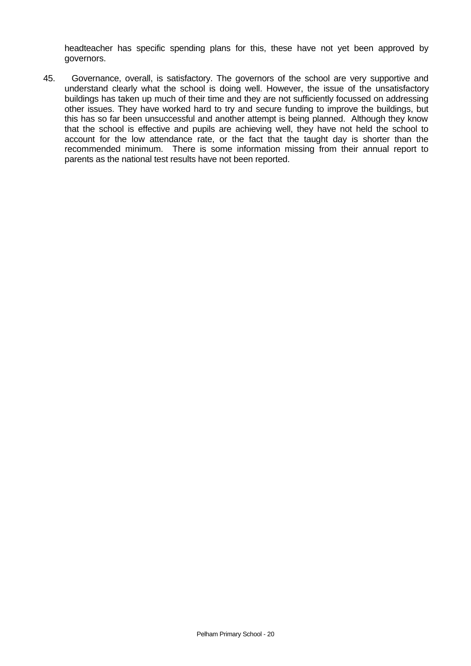headteacher has specific spending plans for this, these have not yet been approved by governors.

45. Governance, overall, is satisfactory. The governors of the school are very supportive and understand clearly what the school is doing well. However, the issue of the unsatisfactory buildings has taken up much of their time and they are not sufficiently focussed on addressing other issues. They have worked hard to try and secure funding to improve the buildings, but this has so far been unsuccessful and another attempt is being planned. Although they know that the school is effective and pupils are achieving well, they have not held the school to account for the low attendance rate, or the fact that the taught day is shorter than the recommended minimum. There is some information missing from their annual report to parents as the national test results have not been reported.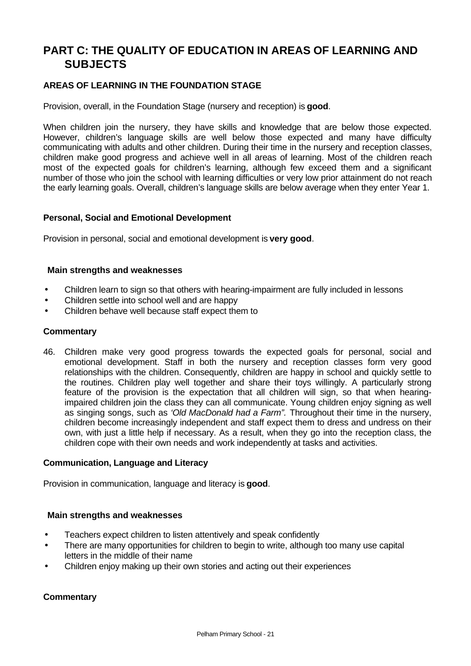# **PART C: THE QUALITY OF EDUCATION IN AREAS OF LEARNING AND SUBJECTS**

# **AREAS OF LEARNING IN THE FOUNDATION STAGE**

Provision, overall, in the Foundation Stage (nursery and reception) is **good**.

When children join the nursery, they have skills and knowledge that are below those expected. However, children's language skills are well below those expected and many have difficulty communicating with adults and other children. During their time in the nursery and reception classes, children make good progress and achieve well in all areas of learning. Most of the children reach most of the expected goals for children's learning, although few exceed them and a significant number of those who join the school with learning difficulties or very low prior attainment do not reach the early learning goals. Overall, children's language skills are below average when they enter Year 1.

#### **Personal, Social and Emotional Development**

Provision in personal, social and emotional development is **very good**.

#### **Main strengths and weaknesses**

- Children learn to sign so that others with hearing-impairment are fully included in lessons
- Children settle into school well and are happy
- Children behave well because staff expect them to

#### **Commentary**

46. Children make very good progress towards the expected goals for personal, social and emotional development. Staff in both the nursery and reception classes form very good relationships with the children. Consequently, children are happy in school and quickly settle to the routines. Children play well together and share their toys willingly. A particularly strong feature of the provision is the expectation that all children will sign, so that when hearingimpaired children join the class they can all communicate. Young children enjoy signing as well as singing songs, such as *'Old MacDonald had a Farm".* Throughout their time in the nursery, children become increasingly independent and staff expect them to dress and undress on their own, with just a little help if necessary. As a result, when they go into the reception class, the children cope with their own needs and work independently at tasks and activities.

#### **Communication, Language and Literacy**

Provision in communication, language and literacy is **good**.

#### **Main strengths and weaknesses**

- Teachers expect children to listen attentively and speak confidently
- There are many opportunities for children to begin to write, although too many use capital letters in the middle of their name
- Children enjoy making up their own stories and acting out their experiences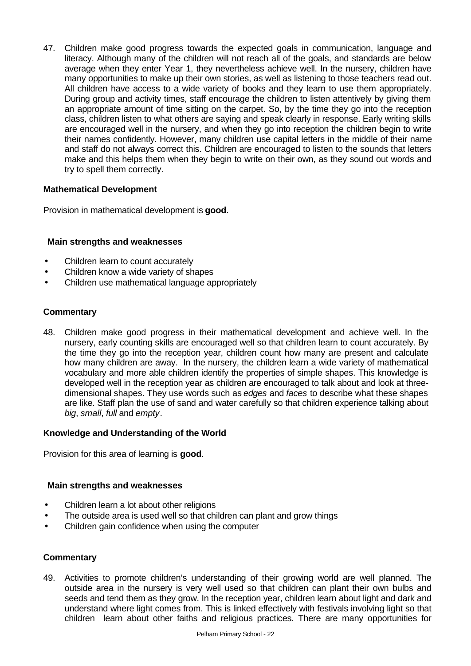47. Children make good progress towards the expected goals in communication, language and literacy. Although many of the children will not reach all of the goals, and standards are below average when they enter Year 1, they nevertheless achieve well. In the nursery, children have many opportunities to make up their own stories, as well as listening to those teachers read out. All children have access to a wide variety of books and they learn to use them appropriately. During group and activity times, staff encourage the children to listen attentively by giving them an appropriate amount of time sitting on the carpet. So, by the time they go into the reception class, children listen to what others are saying and speak clearly in response. Early writing skills are encouraged well in the nursery, and when they go into reception the children begin to write their names confidently. However, many children use capital letters in the middle of their name and staff do not always correct this. Children are encouraged to listen to the sounds that letters make and this helps them when they begin to write on their own, as they sound out words and try to spell them correctly.

#### **Mathematical Development**

Provision in mathematical development is **good**.

#### **Main strengths and weaknesses**

- Children learn to count accurately
- Children know a wide variety of shapes
- Children use mathematical language appropriately

#### **Commentary**

48. Children make good progress in their mathematical development and achieve well. In the nursery, early counting skills are encouraged well so that children learn to count accurately. By the time they go into the reception year, children count how many are present and calculate how many children are away. In the nursery, the children learn a wide variety of mathematical vocabulary and more able children identify the properties of simple shapes. This knowledge is developed well in the reception year as children are encouraged to talk about and look at threedimensional shapes. They use words such as *edges* and *faces* to describe what these shapes are like. Staff plan the use of sand and water carefully so that children experience talking about *big*, *small*, *full* and *empty*.

#### **Knowledge and Understanding of the World**

Provision for this area of learning is **good**.

#### **Main strengths and weaknesses**

- Children learn a lot about other religions
- The outside area is used well so that children can plant and grow things
- Children gain confidence when using the computer

#### **Commentary**

49. Activities to promote children's understanding of their growing world are well planned. The outside area in the nursery is very well used so that children can plant their own bulbs and seeds and tend them as they grow. In the reception year, children learn about light and dark and understand where light comes from. This is linked effectively with festivals involving light so that children learn about other faiths and religious practices. There are many opportunities for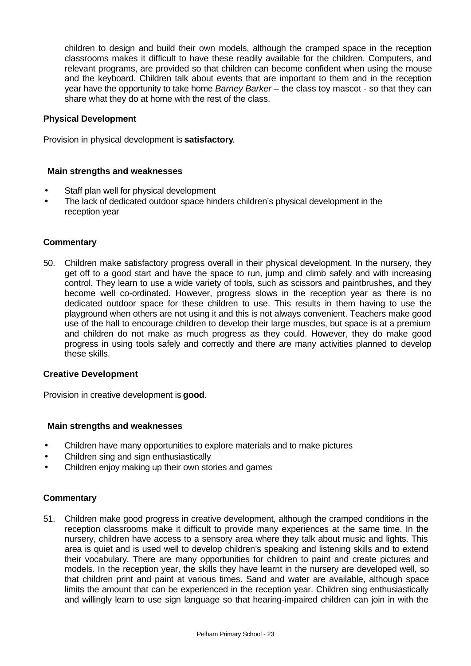children to design and build their own models, although the cramped space in the reception classrooms makes it difficult to have these readily available for the children. Computers, and relevant programs, are provided so that children can become confident when using the mouse and the keyboard. Children talk about events that are important to them and in the reception year have the opportunity to take home *Barney Barker* – the class toy mascot - so that they can share what they do at home with the rest of the class.

#### **Physical Development**

Provision in physical development is **satisfactory**.

#### **Main strengths and weaknesses**

- Staff plan well for physical development
- The lack of dedicated outdoor space hinders children's physical development in the reception year

#### **Commentary**

50. Children make satisfactory progress overall in their physical development. In the nursery, they get off to a good start and have the space to run, jump and climb safely and with increasing control. They learn to use a wide variety of tools, such as scissors and paintbrushes, and they become well co-ordinated. However, progress slows in the reception year as there is no dedicated outdoor space for these children to use. This results in them having to use the playground when others are not using it and this is not always convenient. Teachers make good use of the hall to encourage children to develop their large muscles, but space is at a premium and children do not make as much progress as they could. However, they do make good progress in using tools safely and correctly and there are many activities planned to develop these skills.

#### **Creative Development**

Provision in creative development is **good**.

#### **Main strengths and weaknesses**

- Children have many opportunities to explore materials and to make pictures
- Children sing and sign enthusiastically
- Children enjoy making up their own stories and games

#### **Commentary**

51. Children make good progress in creative development, although the cramped conditions in the reception classrooms make it difficult to provide many experiences at the same time. In the nursery, children have access to a sensory area where they talk about music and lights. This area is quiet and is used well to develop children's speaking and listening skills and to extend their vocabulary. There are many opportunities for children to paint and create pictures and models. In the reception year, the skills they have learnt in the nursery are developed well, so that children print and paint at various times. Sand and water are available, although space limits the amount that can be experienced in the reception year. Children sing enthusiastically and willingly learn to use sign language so that hearing-impaired children can join in with the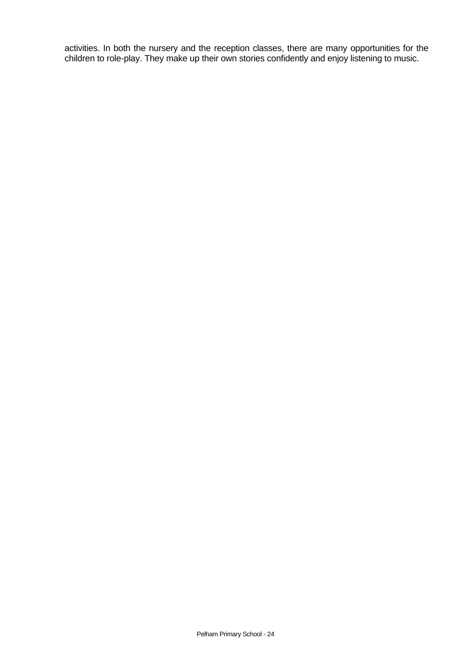activities. In both the nursery and the reception classes, there are many opportunities for the children to role-play. They make up their own stories confidently and enjoy listening to music.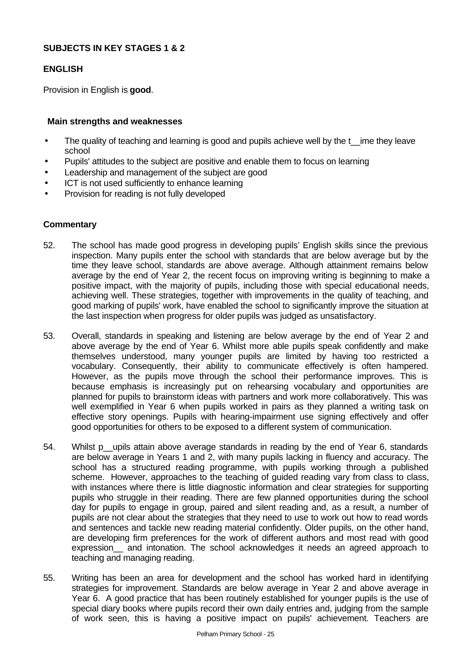#### **SUBJECTS IN KEY STAGES 1 & 2**

#### **ENGLISH**

Provision in English is **good**.

### **Main strengths and weaknesses**

- The quality of teaching and learning is good and pupils achieve well by the t\_ime they leave school
- Pupils' attitudes to the subject are positive and enable them to focus on learning
- Leadership and management of the subject are good
- ICT is not used sufficiently to enhance learning
- Provision for reading is not fully developed

- 52. The school has made good progress in developing pupils' English skills since the previous inspection. Many pupils enter the school with standards that are below average but by the time they leave school, standards are above average. Although attainment remains below average by the end of Year 2, the recent focus on improving writing is beginning to make a positive impact, with the majority of pupils, including those with special educational needs, achieving well. These strategies, together with improvements in the quality of teaching, and good marking of pupils' work, have enabled the school to significantly improve the situation at the last inspection when progress for older pupils was judged as unsatisfactory.
- 53. Overall, standards in speaking and listening are below average by the end of Year 2 and above average by the end of Year 6. Whilst more able pupils speak confidently and make themselves understood, many younger pupils are limited by having too restricted a vocabulary. Consequently, their ability to communicate effectively is often hampered. However, as the pupils move through the school their performance improves. This is because emphasis is increasingly put on rehearsing vocabulary and opportunities are planned for pupils to brainstorm ideas with partners and work more collaboratively. This was well exemplified in Year 6 when pupils worked in pairs as they planned a writing task on effective story openings. Pupils with hearing-impairment use signing effectively and offer good opportunities for others to be exposed to a different system of communication.
- 54. Whilst p upils attain above average standards in reading by the end of Year 6, standards are below average in Years 1 and 2, with many pupils lacking in fluency and accuracy. The school has a structured reading programme, with pupils working through a published scheme. However, approaches to the teaching of guided reading vary from class to class, with instances where there is little diagnostic information and clear strategies for supporting pupils who struggle in their reading. There are few planned opportunities during the school day for pupils to engage in group, paired and silent reading and, as a result, a number of pupils are not clear about the strategies that they need to use to work out how to read words and sentences and tackle new reading material confidently. Older pupils, on the other hand, are developing firm preferences for the work of different authors and most read with good expression and intonation. The school acknowledges it needs an agreed approach to teaching and managing reading.
- 55. Writing has been an area for development and the school has worked hard in identifying strategies for improvement. Standards are below average in Year 2 and above average in Year 6. A good practice that has been routinely established for younger pupils is the use of special diary books where pupils record their own daily entries and, judging from the sample of work seen, this is having a positive impact on pupils' achievement. Teachers are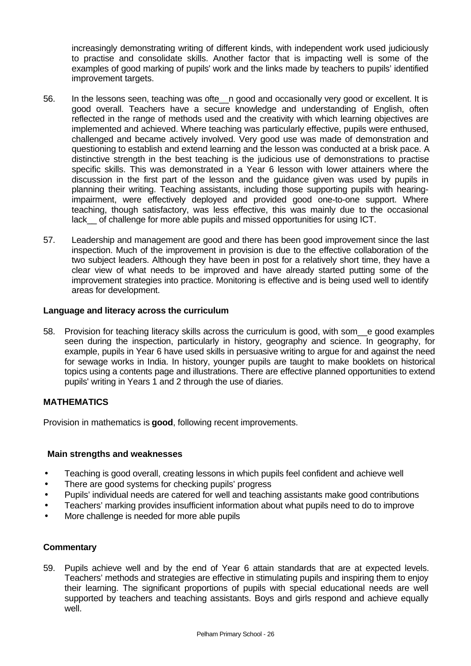increasingly demonstrating writing of different kinds, with independent work used judiciously to practise and consolidate skills. Another factor that is impacting well is some of the examples of good marking of pupils' work and the links made by teachers to pupils' identified improvement targets.

- 56. In the lessons seen, teaching was ofte\_\_n good and occasionally very good or excellent. It is good overall. Teachers have a secure knowledge and understanding of English, often reflected in the range of methods used and the creativity with which learning objectives are implemented and achieved. Where teaching was particularly effective, pupils were enthused, challenged and became actively involved. Very good use was made of demonstration and questioning to establish and extend learning and the lesson was conducted at a brisk pace. A distinctive strength in the best teaching is the judicious use of demonstrations to practise specific skills. This was demonstrated in a Year 6 lesson with lower attainers where the discussion in the first part of the lesson and the guidance given was used by pupils in planning their writing. Teaching assistants, including those supporting pupils with hearingimpairment, were effectively deployed and provided good one-to-one support. Where teaching, though satisfactory, was less effective, this was mainly due to the occasional lack\_\_ of challenge for more able pupils and missed opportunities for using ICT.
- 57. Leadership and management are good and there has been good improvement since the last inspection. Much of the improvement in provision is due to the effective collaboration of the two subject leaders. Although they have been in post for a relatively short time, they have a clear view of what needs to be improved and have already started putting some of the improvement strategies into practice. Monitoring is effective and is being used well to identify areas for development.

#### **Language and literacy across the curriculum**

58. Provision for teaching literacy skills across the curriculum is good, with som\_\_e good examples seen during the inspection, particularly in history, geography and science. In geography, for example, pupils in Year 6 have used skills in persuasive writing to argue for and against the need for sewage works in India. In history, younger pupils are taught to make booklets on historical topics using a contents page and illustrations. There are effective planned opportunities to extend pupils' writing in Years 1 and 2 through the use of diaries.

#### **MATHEMATICS**

Provision in mathematics is **good**, following recent improvements.

#### **Main strengths and weaknesses**

- Teaching is good overall, creating lessons in which pupils feel confident and achieve well
- There are good systems for checking pupils' progress
- Pupils' individual needs are catered for well and teaching assistants make good contributions
- Teachers' marking provides insufficient information about what pupils need to do to improve
- More challenge is needed for more able pupils

#### **Commentary**

59. Pupils achieve well and by the end of Year 6 attain standards that are at expected levels. Teachers' methods and strategies are effective in stimulating pupils and inspiring them to enjoy their learning. The significant proportions of pupils with special educational needs are well supported by teachers and teaching assistants. Boys and girls respond and achieve equally well.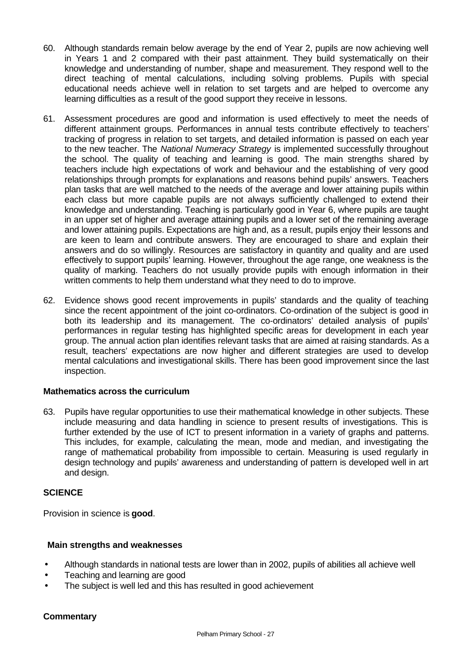- 60. Although standards remain below average by the end of Year 2, pupils are now achieving well in Years 1 and 2 compared with their past attainment. They build systematically on their knowledge and understanding of number, shape and measurement. They respond well to the direct teaching of mental calculations, including solving problems. Pupils with special educational needs achieve well in relation to set targets and are helped to overcome any learning difficulties as a result of the good support they receive in lessons.
- 61. Assessment procedures are good and information is used effectively to meet the needs of different attainment groups. Performances in annual tests contribute effectively to teachers' tracking of progress in relation to set targets, and detailed information is passed on each year to the new teacher. The *National Numeracy Strategy* is implemented successfully throughout the school. The quality of teaching and learning is good. The main strengths shared by teachers include high expectations of work and behaviour and the establishing of very good relationships through prompts for explanations and reasons behind pupils' answers. Teachers plan tasks that are well matched to the needs of the average and lower attaining pupils within each class but more capable pupils are not always sufficiently challenged to extend their knowledge and understanding. Teaching is particularly good in Year 6, where pupils are taught in an upper set of higher and average attaining pupils and a lower set of the remaining average and lower attaining pupils. Expectations are high and, as a result, pupils enjoy their lessons and are keen to learn and contribute answers. They are encouraged to share and explain their answers and do so willingly. Resources are satisfactory in quantity and quality and are used effectively to support pupils' learning. However, throughout the age range, one weakness is the quality of marking. Teachers do not usually provide pupils with enough information in their written comments to help them understand what they need to do to improve.
- 62. Evidence shows good recent improvements in pupils' standards and the quality of teaching since the recent appointment of the joint co-ordinators. Co-ordination of the subject is good in both its leadership and its management. The co-ordinators' detailed analysis of pupils' performances in regular testing has highlighted specific areas for development in each year group. The annual action plan identifies relevant tasks that are aimed at raising standards. As a result, teachers' expectations are now higher and different strategies are used to develop mental calculations and investigational skills. There has been good improvement since the last inspection.

#### **Mathematics across the curriculum**

63. Pupils have regular opportunities to use their mathematical knowledge in other subjects. These include measuring and data handling in science to present results of investigations. This is further extended by the use of ICT to present information in a variety of graphs and patterns. This includes, for example, calculating the mean, mode and median, and investigating the range of mathematical probability from impossible to certain. Measuring is used regularly in design technology and pupils' awareness and understanding of pattern is developed well in art and design.

#### **SCIENCE**

Provision in science is **good**.

#### **Main strengths and weaknesses**

- Although standards in national tests are lower than in 2002, pupils of abilities all achieve well
- Teaching and learning are good
- The subject is well led and this has resulted in good achievement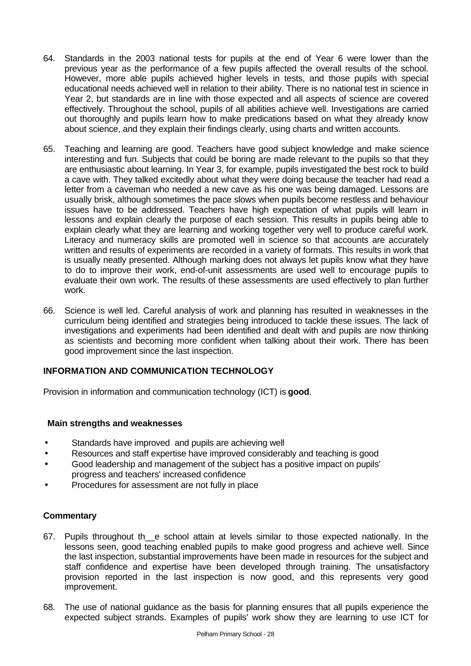- 64. Standards in the 2003 national tests for pupils at the end of Year 6 were lower than the previous year as the performance of a few pupils affected the overall results of the school. However, more able pupils achieved higher levels in tests, and those pupils with special educational needs achieved well in relation to their ability. There is no national test in science in Year 2, but standards are in line with those expected and all aspects of science are covered effectively. Throughout the school, pupils of all abilities achieve well. Investigations are carried out thoroughly and pupils learn how to make predications based on what they already know about science, and they explain their findings clearly, using charts and written accounts.
- 65. Teaching and learning are good. Teachers have good subject knowledge and make science interesting and fun. Subjects that could be boring are made relevant to the pupils so that they are enthusiastic about learning. In Year 3, for example, pupils investigated the best rock to build a cave with. They talked excitedly about what they were doing because the teacher had read a letter from a caveman who needed a new cave as his one was being damaged. Lessons are usually brisk, although sometimes the pace slows when pupils become restless and behaviour issues have to be addressed. Teachers have high expectation of what pupils will learn in lessons and explain clearly the purpose of each session. This results in pupils being able to explain clearly what they are learning and working together very well to produce careful work. Literacy and numeracy skills are promoted well in science so that accounts are accurately written and results of experiments are recorded in a variety of formats. This results in work that is usually neatly presented. Although marking does not always let pupils know what they have to do to improve their work, end-of-unit assessments are used well to encourage pupils to evaluate their own work. The results of these assessments are used effectively to plan further work.
- 66. Science is well led. Careful analysis of work and planning has resulted in weaknesses in the curriculum being identified and strategies being introduced to tackle these issues. The lack of investigations and experiments had been identified and dealt with and pupils are now thinking as scientists and becoming more confident when talking about their work. There has been good improvement since the last inspection.

# **INFORMATION AND COMMUNICATION TECHNOLOGY**

Provision in information and communication technology (ICT) is **good**.

#### **Main strengths and weaknesses**

- Standards have improved and pupils are achieving well
- Resources and staff expertise have improved considerably and teaching is good
- Good leadership and management of the subject has a positive impact on pupils' progress and teachers' increased confidence
- Procedures for assessment are not fully in place

- 67. Pupils throughout th\_\_e school attain at levels similar to those expected nationally. In the lessons seen, good teaching enabled pupils to make good progress and achieve well. Since the last inspection, substantial improvements have been made in resources for the subject and staff confidence and expertise have been developed through training. The unsatisfactory provision reported in the last inspection is now good, and this represents very good improvement.
- 68. The use of national guidance as the basis for planning ensures that all pupils experience the expected subject strands. Examples of pupils' work show they are learning to use ICT for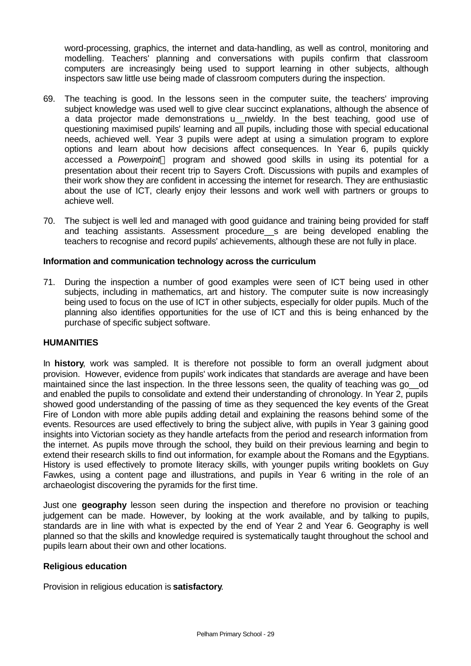word-processing, graphics, the internet and data-handling, as well as control, monitoring and modelling. Teachers' planning and conversations with pupils confirm that classroom computers are increasingly being used to support learning in other subjects, although inspectors saw little use being made of classroom computers during the inspection.

- 69. The teaching is good. In the lessons seen in the computer suite, the teachers' improving subject knowledge was used well to give clear succinct explanations, although the absence of a data projector made demonstrations u nwieldy. In the best teaching, good use of questioning maximised pupils' learning and all pupils, including those with special educational needs, achieved well. Year 3 pupils were adept at using a simulation program to explore options and learn about how decisions affect consequences. In Year 6, pupils quickly accessed a *Powerpoint*<sup>™</sup> program and showed good skills in using its potential for a presentation about their recent trip to Sayers Croft. Discussions with pupils and examples of their work show they are confident in accessing the internet for research. They are enthusiastic about the use of ICT, clearly enjoy their lessons and work well with partners or groups to achieve well.
- 70. The subject is well led and managed with good guidance and training being provided for staff and teaching assistants. Assessment procedure\_\_s are being developed enabling the teachers to recognise and record pupils' achievements, although these are not fully in place.

#### **Information and communication technology across the curriculum**

71. During the inspection a number of good examples were seen of ICT being used in other subjects, including in mathematics, art and history. The computer suite is now increasingly being used to focus on the use of ICT in other subjects, especially for older pupils. Much of the planning also identifies opportunities for the use of ICT and this is being enhanced by the purchase of specific subject software.

#### **HUMANITIES**

In **history**, work was sampled. It is therefore not possible to form an overall judgment about provision. However, evidence from pupils' work indicates that standards are average and have been maintained since the last inspection. In the three lessons seen, the quality of teaching was go od and enabled the pupils to consolidate and extend their understanding of chronology. In Year 2, pupils showed good understanding of the passing of time as they sequenced the key events of the Great Fire of London with more able pupils adding detail and explaining the reasons behind some of the events. Resources are used effectively to bring the subject alive, with pupils in Year 3 gaining good insights into Victorian society as they handle artefacts from the period and research information from the internet. As pupils move through the school, they build on their previous learning and begin to extend their research skills to find out information, for example about the Romans and the Egyptians. History is used effectively to promote literacy skills, with younger pupils writing booklets on Guy Fawkes, using a content page and illustrations, and pupils in Year 6 writing in the role of an archaeologist discovering the pyramids for the first time.

Just one **geography** lesson seen during the inspection and therefore no provision or teaching judgement can be made. However, by looking at the work available, and by talking to pupils, standards are in line with what is expected by the end of Year 2 and Year 6. Geography is well planned so that the skills and knowledge required is systematically taught throughout the school and pupils learn about their own and other locations.

#### **Religious education**

Provision in religious education is **satisfactory**.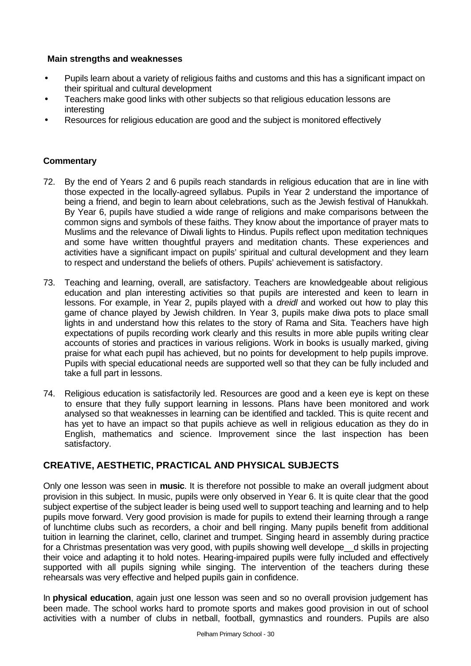## **Main strengths and weaknesses**

- Pupils learn about a variety of religious faiths and customs and this has a significant impact on their spiritual and cultural development
- Teachers make good links with other subjects so that religious education lessons are interesting
- Resources for religious education are good and the subject is monitored effectively

## **Commentary**

- 72. By the end of Years 2 and 6 pupils reach standards in religious education that are in line with those expected in the locally-agreed syllabus. Pupils in Year 2 understand the importance of being a friend, and begin to learn about celebrations, such as the Jewish festival of Hanukkah. By Year 6, pupils have studied a wide range of religions and make comparisons between the common signs and symbols of these faiths. They know about the importance of prayer mats to Muslims and the relevance of Diwali lights to Hindus. Pupils reflect upon meditation techniques and some have written thoughtful prayers and meditation chants. These experiences and activities have a significant impact on pupils' spiritual and cultural development and they learn to respect and understand the beliefs of others. Pupils' achievement is satisfactory.
- 73. Teaching and learning, overall, are satisfactory. Teachers are knowledgeable about religious education and plan interesting activities so that pupils are interested and keen to learn in lessons. For example, in Year 2, pupils played with a *dreidl* and worked out how to play this game of chance played by Jewish children. In Year 3, pupils make diwa pots to place small lights in and understand how this relates to the story of Rama and Sita. Teachers have high expectations of pupils recording work clearly and this results in more able pupils writing clear accounts of stories and practices in various religions. Work in books is usually marked, giving praise for what each pupil has achieved, but no points for development to help pupils improve. Pupils with special educational needs are supported well so that they can be fully included and take a full part in lessons.
- 74. Religious education is satisfactorily led. Resources are good and a keen eye is kept on these to ensure that they fully support learning in lessons. Plans have been monitored and work analysed so that weaknesses in learning can be identified and tackled. This is quite recent and has yet to have an impact so that pupils achieve as well in religious education as they do in English, mathematics and science. Improvement since the last inspection has been satisfactory.

# **CREATIVE, AESTHETIC, PRACTICAL AND PHYSICAL SUBJECTS**

Only one lesson was seen in **music**. It is therefore not possible to make an overall judgment about provision in this subject. In music, pupils were only observed in Year 6. It is quite clear that the good subject expertise of the subject leader is being used well to support teaching and learning and to help pupils move forward. Very good provision is made for pupils to extend their learning through a range of lunchtime clubs such as recorders, a choir and bell ringing. Many pupils benefit from additional tuition in learning the clarinet, cello, clarinet and trumpet. Singing heard in assembly during practice for a Christmas presentation was very good, with pupils showing well develope\_\_d skills in projecting their voice and adapting it to hold notes. Hearing-impaired pupils were fully included and effectively supported with all pupils signing while singing. The intervention of the teachers during these rehearsals was very effective and helped pupils gain in confidence.

In **physical education**, again just one lesson was seen and so no overall provision judgement has been made. The school works hard to promote sports and makes good provision in out of school activities with a number of clubs in netball, football, gymnastics and rounders. Pupils are also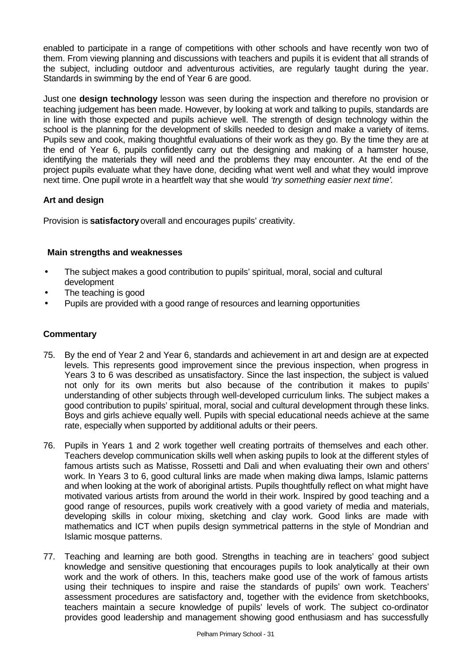enabled to participate in a range of competitions with other schools and have recently won two of them. From viewing planning and discussions with teachers and pupils it is evident that all strands of the subject, including outdoor and adventurous activities, are regularly taught during the year. Standards in swimming by the end of Year 6 are good.

Just one **design technology** lesson was seen during the inspection and therefore no provision or teaching judgement has been made. However, by looking at work and talking to pupils, standards are in line with those expected and pupils achieve well. The strength of design technology within the school is the planning for the development of skills needed to design and make a variety of items. Pupils sew and cook, making thoughtful evaluations of their work as they go. By the time they are at the end of Year 6, pupils confidently carry out the designing and making of a hamster house, identifying the materials they will need and the problems they may encounter. At the end of the project pupils evaluate what they have done, deciding what went well and what they would improve next time. One pupil wrote in a heartfelt way that she would *'try something easier next time'*.

# **Art and design**

Provision is **satisfactory** overall and encourages pupils' creativity.

# **Main strengths and weaknesses**

- The subject makes a good contribution to pupils' spiritual, moral, social and cultural development
- The teaching is good
- Pupils are provided with a good range of resources and learning opportunities

- 75. By the end of Year 2 and Year 6, standards and achievement in art and design are at expected levels. This represents good improvement since the previous inspection, when progress in Years 3 to 6 was described as unsatisfactory. Since the last inspection, the subject is valued not only for its own merits but also because of the contribution it makes to pupils' understanding of other subjects through well-developed curriculum links. The subject makes a good contribution to pupils' spiritual, moral, social and cultural development through these links. Boys and girls achieve equally well. Pupils with special educational needs achieve at the same rate, especially when supported by additional adults or their peers.
- 76. Pupils in Years 1 and 2 work together well creating portraits of themselves and each other. Teachers develop communication skills well when asking pupils to look at the different styles of famous artists such as Matisse, Rossetti and Dali and when evaluating their own and others' work. In Years 3 to 6, good cultural links are made when making diwa lamps, Islamic patterns and when looking at the work of aboriginal artists. Pupils thoughtfully reflect on what might have motivated various artists from around the world in their work. Inspired by good teaching and a good range of resources, pupils work creatively with a good variety of media and materials, developing skills in colour mixing, sketching and clay work. Good links are made with mathematics and ICT when pupils design symmetrical patterns in the style of Mondrian and Islamic mosque patterns.
- 77. Teaching and learning are both good. Strengths in teaching are in teachers' good subject knowledge and sensitive questioning that encourages pupils to look analytically at their own work and the work of others. In this, teachers make good use of the work of famous artists using their techniques to inspire and raise the standards of pupils' own work. Teachers' assessment procedures are satisfactory and, together with the evidence from sketchbooks, teachers maintain a secure knowledge of pupils' levels of work. The subject co-ordinator provides good leadership and management showing good enthusiasm and has successfully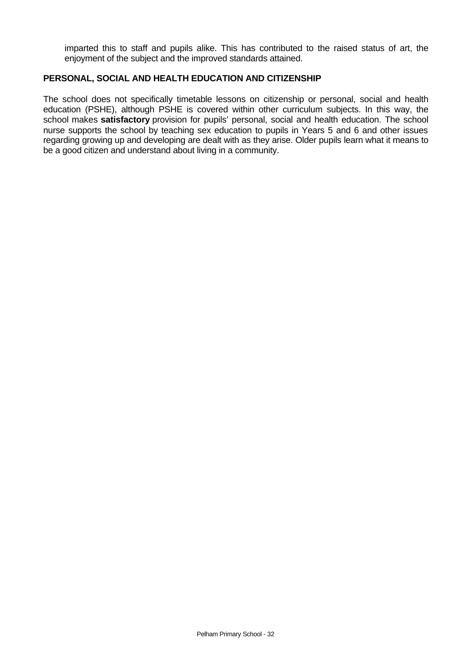imparted this to staff and pupils alike. This has contributed to the raised status of art, the enjoyment of the subject and the improved standards attained.

#### **PERSONAL, SOCIAL AND HEALTH EDUCATION AND CITIZENSHIP**

The school does not specifically timetable lessons on citizenship or personal, social and health education (PSHE), although PSHE is covered within other curriculum subjects. In this way, the school makes **satisfactory** provision for pupils' personal, social and health education. The school nurse supports the school by teaching sex education to pupils in Years 5 and 6 and other issues regarding growing up and developing are dealt with as they arise. Older pupils learn what it means to be a good citizen and understand about living in a community.